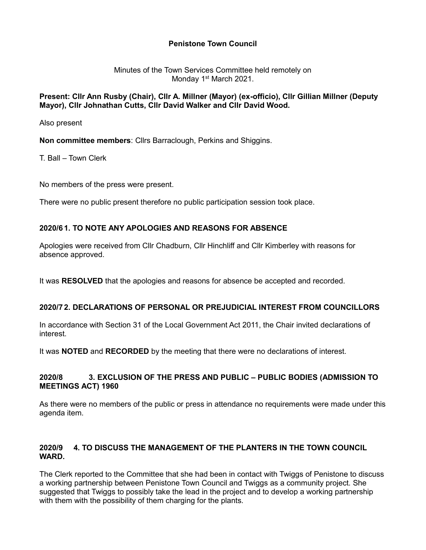## **Penistone Town Council**

Minutes of the Town Services Committee held remotely on Monday 1<sup>st</sup> March 2021.

#### **Present: Cllr Ann Rusby (Chair), Cllr A. Millner (Mayor) (ex-officio), Cllr Gillian Millner (Deputy Mayor), Cllr Johnathan Cutts, Cllr David Walker and Cllr David Wood.**

Also present

**Non committee members**: Cllrs Barraclough, Perkins and Shiggins.

T. Ball – Town Clerk

No members of the press were present.

There were no public present therefore no public participation session took place.

### **2020/6 1. TO NOTE ANY APOLOGIES AND REASONS FOR ABSENCE**

Apologies were received from Cllr Chadburn, Cllr Hinchliff and Cllr Kimberley with reasons for absence approved.

It was **RESOLVED** that the apologies and reasons for absence be accepted and recorded.

### **2020/7 2. DECLARATIONS OF PERSONAL OR PREJUDICIAL INTEREST FROM COUNCILLORS**

In accordance with Section 31 of the Local Government Act 2011, the Chair invited declarations of interest.

It was **NOTED** and **RECORDED** by the meeting that there were no declarations of interest.

### **2020/8 3. EXCLUSION OF THE PRESS AND PUBLIC – PUBLIC BODIES (ADMISSION TO MEETINGS ACT) 1960**

As there were no members of the public or press in attendance no requirements were made under this agenda item.

### **2020/9 4. TO DISCUSS THE MANAGEMENT OF THE PLANTERS IN THE TOWN COUNCIL WARD.**

The Clerk reported to the Committee that she had been in contact with Twiggs of Penistone to discuss a working partnership between Penistone Town Council and Twiggs as a community project. She suggested that Twiggs to possibly take the lead in the project and to develop a working partnership with them with the possibility of them charging for the plants.